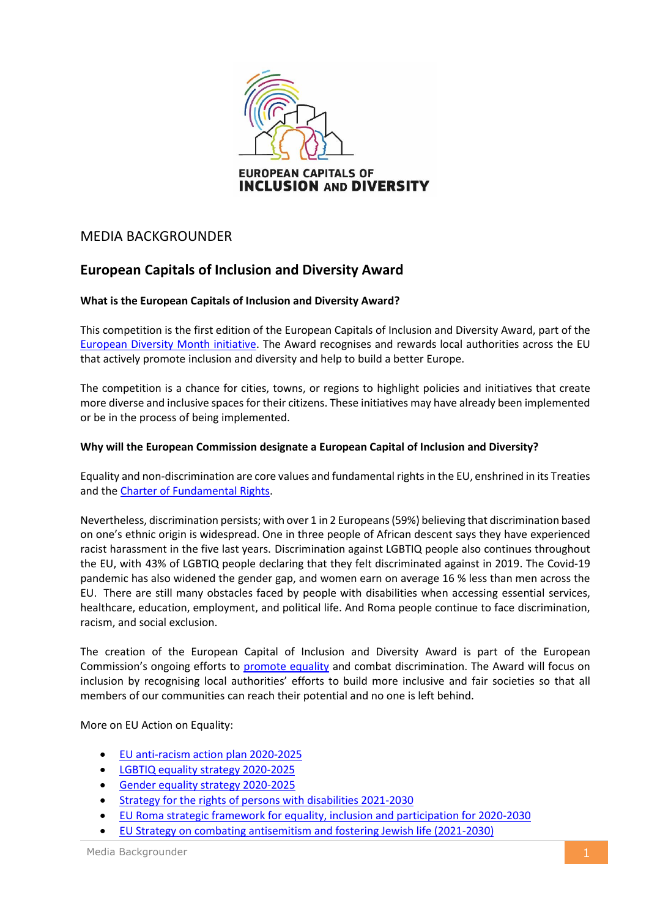

# MEDIA BACKGROUNDER

## **European Capitals of Inclusion and Diversity Award**

## **What is the European Capitals of Inclusion and Diversity Award?**

This competition is the first edition of the European Capitals of Inclusion and Diversity Award, part of the [European Diversity Month initiative.](https://ec.europa.eu/info/policies/justice-and-fundamental-rights/combatting-discrimination/tackling-discrimination/diversity-management/european-diversity-month-2021_en) The Award recognises and rewards local authorities across the EU that actively promote inclusion and diversity and help to build a better Europe.

The competition is a chance for cities, towns, or regions to highlight policies and initiatives that create more diverse and inclusive spaces for their citizens. These initiatives may have already been implemented or be in the process of being implemented.

## **Why will the European Commission designate a European Capital of Inclusion and Diversity?**

Equality and non-discrimination are core values and fundamental rights in the EU, enshrined in its Treaties and the [Charter of Fundamental Rights.](https://eur-lex.europa.eu/legal-content/EN/TXT/?uri=CELEX:12012P/TXT)

Nevertheless, discrimination persists; with over 1 in 2 Europeans (59%) believing that discrimination based on one's ethnic origin is widespread. One in three people of African descent says they have experienced racist harassment in the five last years. Discrimination against LGBTIQ people also continues throughout the EU, with 43% of LGBTIQ people declaring that they felt discriminated against in 2019. The Covid-19 pandemic has also widened the gender gap, and women earn on average 16 % less than men across the EU. There are still many obstacles faced by people with disabilities when accessing essential services, healthcare, education, employment, and political life. And Roma people continue to face discrimination, racism, and social exclusion.

The creation of the European Capital of Inclusion and Diversity Award is part of the European Commission's ongoing efforts to [promote](https://ec.europa.eu/commission/commissioners/2019-2024/dalli/announcements/union-equality-first-year-actions-and-achievements_en) equality and combat discrimination. The Award will focus on inclusion by recognising local authorities' efforts to build more inclusive and fair societies so that all members of our communities can reach their potential and no one is left behind.

More on EU Action on Equality:

- [EU anti-racism action plan 2020-2025](https://ec.europa.eu/info/policies/justice-and-fundamental-rights/combatting-discrimination/racism-and-xenophobia/eu-anti-racism-action-plan-2020-2025_en)
- [LGBTIQ equality strategy 2020-2025](https://ec.europa.eu/info/policies/justice-and-fundamental-rights/combatting-discrimination/lesbian-gay-bi-trans-and-intersex-equality/lgbtiq-equality-strategy-2020-2025_en)
- [Gender equality strategy 2020-2025](https://ec.europa.eu/info/policies/justice-and-fundamental-rights/gender-equality/gender-equality-strategy_en)
- [Strategy for the rights of persons with disabilities 2021-2030](https://ec.europa.eu/commission/presscorner/detail/en/ip_21_810)
- [EU Roma strategic framework for equality, inclusion and participation for 2020-2030](https://ec.europa.eu/commission/presscorner/detail/en/ip_20_1813)
- [EU Strategy on combating antisemitism and fostering Jewish life \(2021-2030\)](https://ec.europa.eu/info/policies/justice-and-fundamental-rights/combatting-discrimination/racism-and-xenophobia/combating-antisemitism/eu-strategy-combating-antisemitism-and-fostering-jewish-life-2021-2030_en)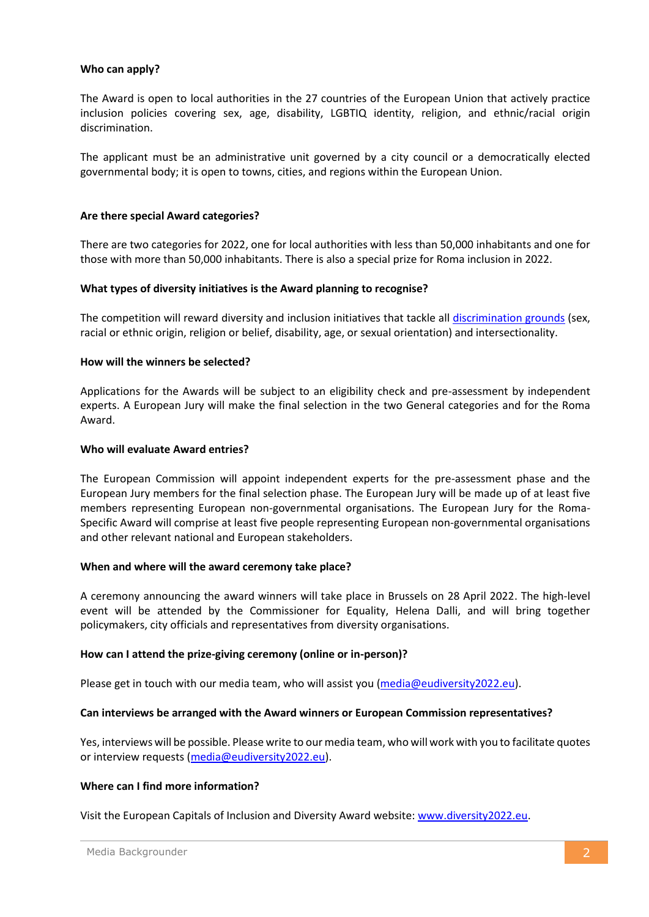## **Who can apply?**

The Award is open to local authorities in the 27 countries of the European Union that actively practice inclusion policies covering sex, age, disability, LGBTIQ identity, religion, and ethnic/racial origin discrimination.

The applicant must be an administrative unit governed by a city council or a democratically elected governmental body; it is open to towns, cities, and regions within the European Union.

## **Are there special Award categories?**

There are two categories for 2022, one for local authorities with less than 50,000 inhabitants and one for those with more than 50,000 inhabitants. There is also a special prize for Roma inclusion in 2022.

## **What types of diversity initiatives is the Award planning to recognise?**

The competition will reward diversity and inclusion initiatives that tackle all [discrimination grounds](https://ec.europa.eu/info/aid-development-cooperation-fundamental-rights/your-rights-eu/know-your-rights/equality/non-discrimination_en#documents) (sex, racial or ethnic origin, religion or belief, disability, age, or sexual orientation) and intersectionality.

## **How will the winners be selected?**

Applications for the Awards will be subject to an eligibility check and pre-assessment by independent experts. A European Jury will make the final selection in the two General categories and for the Roma Award.

## **Who will evaluate Award entries?**

The European Commission will appoint independent experts for the pre-assessment phase and the European Jury members for the final selection phase. The European Jury will be made up of at least five members representing European non-governmental organisations. The European Jury for the Roma-Specific Award will comprise at least five people representing European non-governmental organisations and other relevant national and European stakeholders.

## **When and where will the award ceremony take place?**

A ceremony announcing the award winners will take place in Brussels on 28 April 2022. The high-level event will be attended by the Commissioner for Equality, Helena Dalli, and will bring together policymakers, city officials and representatives from diversity organisations.

## **How can I attend the prize-giving ceremony (online or in-person)?**

Please get in touch with our media team, who will assist you [\(media@eudiversity2022.eu\)](mailto:media@eudiversity2022.eu).

## **Can interviews be arranged with the Award winners or European Commission representatives?**

Yes, interviews will be possible. Please write to our media team, who will work with you to facilitate quotes or interview requests [\(media@eudiversity2022.eu\)](mailto:media@eudiversity2022.eu).

## **Where can I find more information?**

Visit the European Capitals of Inclusion and Diversity Award website: [www.diversity2022.eu.](http://www.diversity2022.eu/)